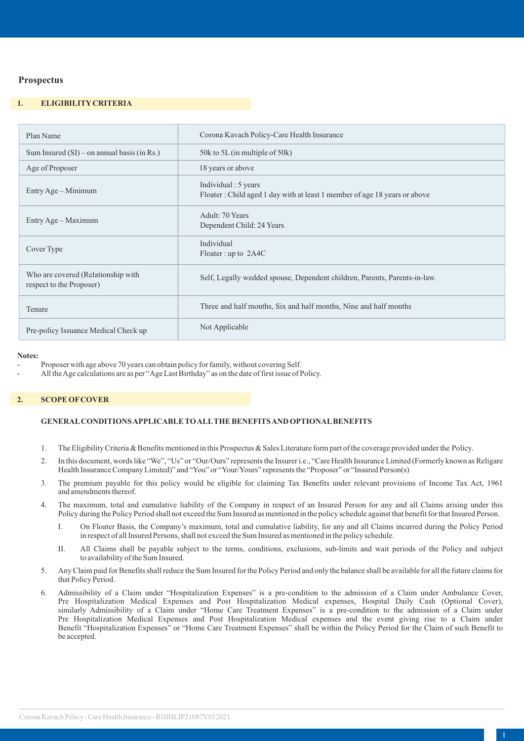# **Prospectus**

# **1. ELIGIBILITYCRITERIA**

| Plan Name                                                      | Corona Kavach Policy-Care Health Insurance                                                        |
|----------------------------------------------------------------|---------------------------------------------------------------------------------------------------|
| Sum Insured $(SI)$ – on annual basis (in Rs.)                  | 50k to 5L (in multiple of 50k)                                                                    |
| Age of Proposer                                                | 18 years or above                                                                                 |
| Entry Age – Minimum                                            | Individual : 5 years<br>Floater: Child aged 1 day with at least 1 member of age 18 years or above |
| Entry Age – Maximum                                            | Adult: 70 Years<br>Dependent Child: 24 Years                                                      |
| Cover Type                                                     | Individual<br>Floater : up to $2A4C$                                                              |
| Who are covered (Relationship with<br>respect to the Proposer) | Self, Legally wedded spouse, Dependent children, Parents, Parents-in-law.                         |
| Tenure                                                         | Three and half months, Six and half months, Nine and half months                                  |
| Pre-policy Issuance Medical Check up                           | Not Applicable                                                                                    |

#### **Notes:**

Proposer with age above 70 years can obtain policy for family, without covering Self.

- All the Age calculations are as per "Age Last Birthday" as on the date of first issue of Policy.

### **2. SCOPE OFCOVER**

## **GENERALCONDITIONS APPLICABLE TO ALLTHE BENEFITS AND OPTIONALBENEFITS**

- 1. The Eligibility Criteria & Benefits mentioned in this Prospectus & Sales Literature form part of the coverage provided under the Policy.
- 2. In this document, words like "We", "Us" or "Our/Ours" represents the Insurer i.e., "Care Health Insurance Limited (Formerly known as Religare Health Insurance Company Limited)" and "You" or "Your/Yours" represents the "Proposer" or "Insured Person(s)
- 3. The premium payable for this policy would be eligible for claiming Tax Benefits under relevant provisions of Income Tax Act, 1961 and amendments thereof.
- 4. The maximum, total and cumulative liability of the Company in respect of an Insured Person for any and all Claims arising under this Policy during the Policy Period shall not exceed the Sum Insured as mentioned in the policy schedule against that benefit for that Insured Person.
	- I. On Floater Basis, the Company's maximum, total and cumulative liability, for any and all Claims incurred during the Policy Period in respect of all Insured Persons, shall not exceed the Sum Insured as mentioned in the policy schedule.
	- II. All Claims shall be payable subject to the terms, conditions, exclusions, sub-limits and wait periods of the Policy and subject to availability of the Sum Insured.
- 5. Any Claim paid for Benefits shall reduce the Sum Insured for the Policy Period and only the balance shall be available for all the future claims for that Policy Period.
- 6. Admissibility of a Claim under "Hospitalization Expenses" is a pre-condition to the admission of a Claim under Ambulance Cover, Pre Hospitalization Medical Expenses and Post Hospitalization Medical expenses, Hospital Daily Cash (Optional Cover), similarly Admissibility of a Claim under "Home Care Treatment Expenses" is a pre-condition to the admission of a Claim under Pre Hospitalization Medical Expenses and Post Hospitalization Medical expenses and the event giving rise to a Claim under Benefit "Hospitalization Expenses" or "Home Care Treatment Expenses" shall be within the Policy Period for the Claim of such Benefit to be accepted.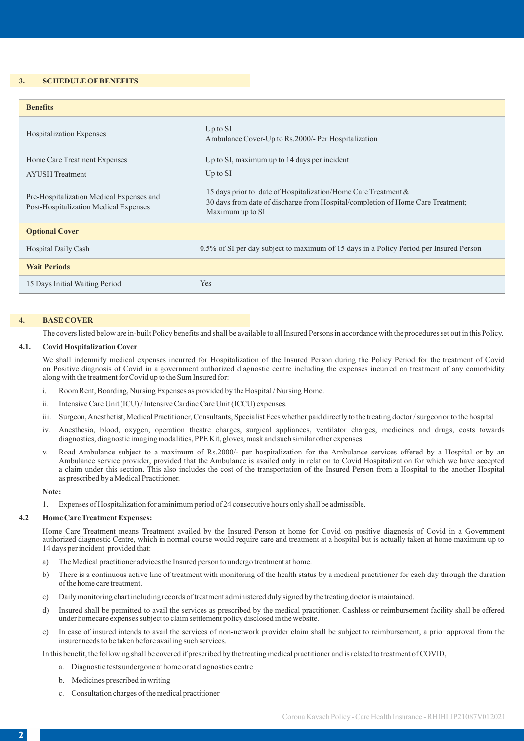### **3. SCHEDULE OFBENEFITS**

| <b>Benefits</b>                                                                   |                                                                                                                                                                       |  |
|-----------------------------------------------------------------------------------|-----------------------------------------------------------------------------------------------------------------------------------------------------------------------|--|
| <b>Hospitalization Expenses</b>                                                   | $Up$ to $SI$<br>Ambulance Cover-Up to Rs.2000/- Per Hospitalization                                                                                                   |  |
| Home Care Treatment Expenses                                                      | Up to SI, maximum up to 14 days per incident                                                                                                                          |  |
| <b>AYUSH</b> Treatment                                                            | $Up$ to $SI$                                                                                                                                                          |  |
| Pre-Hospitalization Medical Expenses and<br>Post-Hospitalization Medical Expenses | 15 days prior to date of Hospitalization/Home Care Treatment &<br>30 days from date of discharge from Hospital/completion of Home Care Treatment;<br>Maximum up to SI |  |
| <b>Optional Cover</b>                                                             |                                                                                                                                                                       |  |
| <b>Hospital Daily Cash</b>                                                        | 0.5% of SI per day subject to maximum of 15 days in a Policy Period per Insured Person                                                                                |  |
| <b>Wait Periods</b>                                                               |                                                                                                                                                                       |  |
| 15 Days Initial Waiting Period                                                    | Yes                                                                                                                                                                   |  |

#### **4. BASE COVER**

The covers listed below are in-built Policy benefits and shall be available to all Insured Persons in accordance with the procedures set out in this Policy.

### **4.1. Covid Hospitalization Cover**

We shall indemnify medical expenses incurred for Hospitalization of the Insured Person during the Policy Period for the treatment of Covid on Positive diagnosis of Covid in a government authorized diagnostic centre including the expenses incurred on treatment of any comorbidity along with the treatment for Covid up to the Sum Insured for:

- i. Room Rent, Boarding, Nursing Expenses as provided by the Hospital / Nursing Home.
- ii. Intensive Care Unit (ICU) / Intensive Cardiac Care Unit (ICCU) expenses.
- iii. Surgeon, Anesthetist, Medical Practitioner, Consultants, Specialist Fees whether paid directly to the treating doctor / surgeon or to the hospital
- iv. Anesthesia, blood, oxygen, operation theatre charges, surgical appliances, ventilator charges, medicines and drugs, costs towards diagnostics, diagnostic imaging modalities, PPE Kit, gloves, mask and such similar other expenses.
- v. Road Ambulance subject to a maximum of Rs.2000/- per hospitalization for the Ambulance services offered by a Hospital or by an Ambulance service provider, provided that the Ambulance is availed only in relation to Covid Hospitalization for which we have accepted a claim under this section. This also includes the cost of the transportation of the Insured Person from a Hospital to the another Hospital as prescribed by a Medical Practitioner.

#### **Note:**

1. Expenses of Hospitalization for a minimum period of 24 consecutive hours only shall be admissible.

# **4.2 Home Care Treatment Expenses:**

Home Care Treatment means Treatment availed by the Insured Person at home for Covid on positive diagnosis of Covid in a Government authorized diagnostic Centre, which in normal course would require care and treatment at a hospital but is actually taken at home maximum up to 14 days per incident provided that:

- a) The Medical practitioner advices the Insured person to undergo treatment at home.
- b) There is a continuous active line of treatment with monitoring of the health status by a medical practitioner for each day through the duration of the home care treatment.
- c) Daily monitoring chart including records of treatment administered duly signed by the treating doctor is maintained.
- d) Insured shall be permitted to avail the services as prescribed by the medical practitioner. Cashless or reimbursement facility shall be offered under homecare expenses subject to claim settlement policy disclosed in the website.
- e) In case of insured intends to avail the services of non-network provider claim shall be subject to reimbursement, a prior approval from the insurer needs to be taken before availing such services.

In this benefit, the following shall be covered if prescribed by the treating medical practitioner and is related to treatment of COVID,

- a. Diagnostic tests undergone at home or at diagnostics centre
- b. Medicines prescribed in writing
- c. Consultation charges of the medical practitioner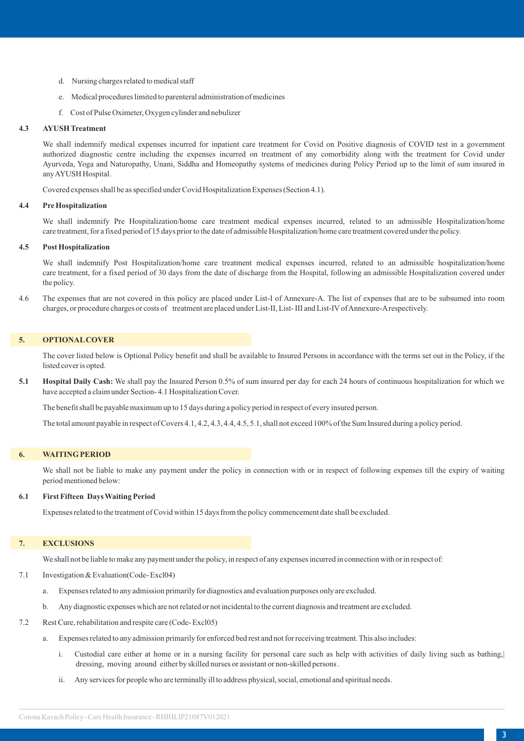- d. Nursing charges related to medical staff
- e. Medical procedures limited to parenteral administration of medicines
- f. Cost of Pulse Oximeter, Oxygen cylinder and nebulizer

### **4.3 AYUSH Treatment**

We shall indemnify medical expenses incurred for inpatient care treatment for Covid on Positive diagnosis of COVID test in a government authorized diagnostic centre including the expenses incurred on treatment of any comorbidity along with the treatment for Covid under Ayurveda, Yoga and Naturopathy, Unani, Siddha and Homeopathy systems of medicines during Policy Period up to the limit of sum insured in any AYUSH Hospital.

Covered expenses shall be as specified under Covid Hospitalization Expenses (Section 4.1).

#### **4.4 Pre Hospitalization**

We shall indemnify Pre Hospitalization/home care treatment medical expenses incurred, related to an admissible Hospitalization/home care treatment, for a fixed period of 15 days prior to the date of admissible Hospitalization/home care treatment covered under the policy.

### **4.5 Post Hospitalization**

We shall indemnify Post Hospitalization/home care treatment medical expenses incurred, related to an admissible hospitalization/home care treatment, for a fixed period of 30 days from the date of discharge from the Hospital, following an admissible Hospitalization covered under the policy.

4.6 The expenses that are not covered in this policy are placed under List-I of Annexure-A. The list of expenses that are to be subsumed into room charges, or procedure charges or costs of treatment are placed under List-II, List- III and List-IVof Annexure-Arespectively.

#### **5. OPTIONALCOVER**

The cover listed below is Optional Policy benefit and shall be available to Insured Persons in accordance with the terms set out in the Policy, if the listed cover is opted.

**5.1 Hospital Daily Cash:** We shall pay the Insured Person 0.5% of sum insured per day for each 24 hours of continuous hospitalization for which we have accepted a claim under Section- 4.1 Hospitalization Cover.

The benefit shall be payable maximum up to 15 days during a policy period in respect of every insured person.

The total amount payable in respect of Covers 4.1, 4.2, 4.3, 4.4, 4.5, 5.1, shall not exceed 100% of the Sum Insured during a policy period.

#### **6. WAITING PERIOD**

We shall not be liable to make any payment under the policy in connection with or in respect of following expenses till the expiry of waiting period mentioned below:

### **6.1 First Fifteen Days Waiting Period**

Expenses related to the treatment of Covid within 15 days from the policy commencement date shall be excluded.

# **7. EXCLUSIONS**

We shall not be liable to make any payment under the policy, in respect of any expenses incurred in connection with or in respect of:

- 7.1 Investigation & Evaluation(Code- Excl04)
	- a. Expenses related to any admission primarily for diagnostics and evaluation purposes only are excluded.
	- b. Any diagnostic expenses which are not related or not incidental to the current diagnosis and treatment are excluded.
- 7.2 Rest Cure, rehabilitation and respite care (Code- Excl05)
	- a. Expenses related to any admission primarily for enforced bed rest and not for receiving treatment. This also includes:
		- i. Custodial care either at home or in a nursing facility for personal care such as help with activities of daily living such as bathing,| dressing, moving around either by skilled nurses or assistant or non-skilled persons .
		- ii. Any services for people who are terminally ill to address physical, social, emotional and spiritual needs.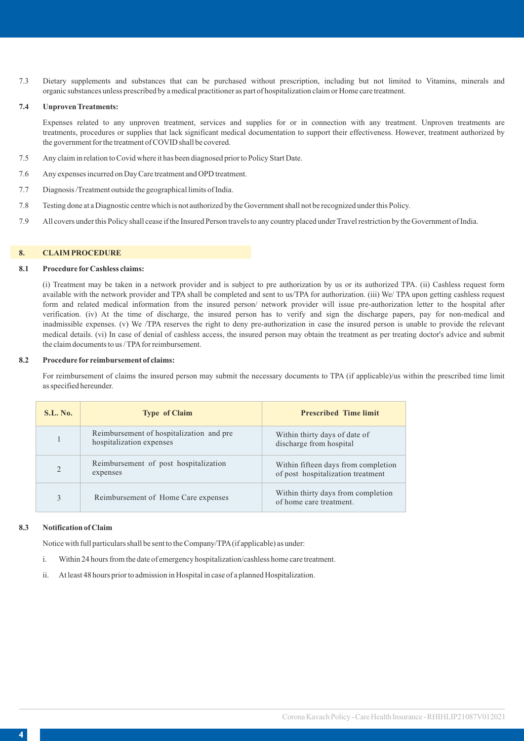7.3 Dietary supplements and substances that can be purchased without prescription, including but not limited to Vitamins, minerals and organic substances unless prescribed by a medical practitioner as part of hospitalization claim or Home care treatment.

### **7.4 Unproven Treatments:**

Expenses related to any unproven treatment, services and supplies for or in connection with any treatment. Unproven treatments are treatments, procedures or supplies that lack significant medical documentation to support their effectiveness. However, treatment authorized by the government for the treatment of COVID shall be covered.

- 7.5 Any claim in relation to Covid where it has been diagnosed prior to Policy Start Date.
- 7.6 Any expenses incurred on Day Care treatment and OPD treatment.
- 7.7 Diagnosis /Treatment outside the geographical limits of India.
- 7.8 Testing done at a Diagnostic centre which is not authorized by the Government shall not be recognized under this Policy.
- 7.9 All covers under this Policy shall cease if the Insured Person travels to any country placed under Travel restriction by the Government of India.

#### **8. CLAIM PROCEDURE**

#### **8.1 Procedure forCashless claims:**

(i) Treatment may be taken in a network provider and is subject to pre authorization by us or its authorized TPA. (ii) Cashless request form available with the network provider and TPA shall be completed and sent to us/TPA for authorization. (iii) We/ TPA upon getting cashless request form and related medical information from the insured person/ network provider will issue pre-authorization letter to the hospital after verification. (iv) At the time of discharge, the insured person has to verify and sign the discharge papers, pay for non-medical and inadmissible expenses. (v) We /TPA reserves the right to deny pre-authorization in case the insured person is unable to provide the relevant medical details. (vi) In case of denial of cashless access, the insured person may obtain the treatment as per treating doctor's advice and submit the claim documents to us / TPA for reimbursement.

### **8.2 Procedure for reimbursement of claims:**

For reimbursement of claims the insured person may submit the necessary documents to TPA (if applicable)/us within the prescribed time limit as specified hereunder.

| <b>S.L. No.</b> | <b>Type of Claim</b>                                                 | <b>Prescribed Time limit</b>                                             |
|-----------------|----------------------------------------------------------------------|--------------------------------------------------------------------------|
|                 | Reimbursement of hospitalization and pre<br>hospitalization expenses | Within thirty days of date of<br>discharge from hospital                 |
| $\mathfrak{D}$  | Reimbursement of post hospitalization<br>expenses                    | Within fifteen days from completion<br>of post hospitalization treatment |
|                 | Reimbursement of Home Care expenses                                  | Within thirty days from completion<br>of home care treatment.            |

### **8.3 Notification of Claim**

Notice with full particulars shall be sent to the Company/TPA(if applicable) as under:

- i. Within 24 hours from the date of emergency hospitalization/cashless home care treatment.
- ii. At least 48 hours prior to admission in Hospital in case of a planned Hospitalization.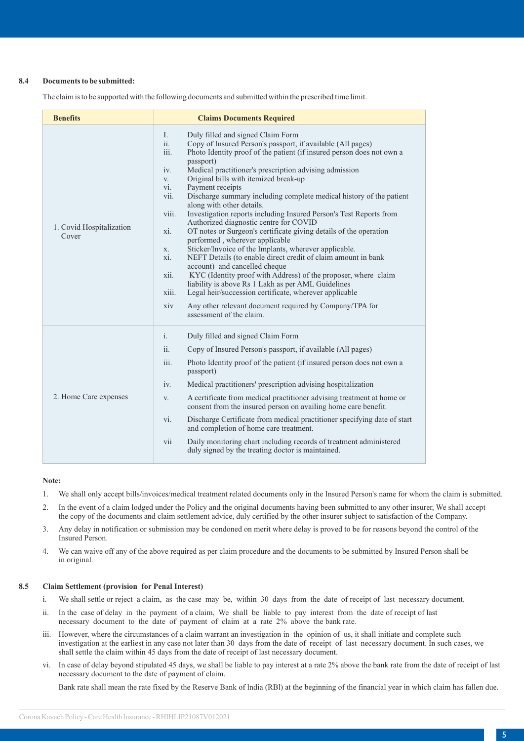### **8.4 Documents to be submitted:**

The claim is to be supported with the following documents and submitted within the prescribed time limit.

| <b>Benefits</b>                   | <b>Claims Documents Required</b>                                                                                                                                                                                                                                                                                                                                                                                                                                                                                                                                                                                                                                                                                                                                                                                                                                                                                                                                                                                                                                                                                                                                                  |  |
|-----------------------------------|-----------------------------------------------------------------------------------------------------------------------------------------------------------------------------------------------------------------------------------------------------------------------------------------------------------------------------------------------------------------------------------------------------------------------------------------------------------------------------------------------------------------------------------------------------------------------------------------------------------------------------------------------------------------------------------------------------------------------------------------------------------------------------------------------------------------------------------------------------------------------------------------------------------------------------------------------------------------------------------------------------------------------------------------------------------------------------------------------------------------------------------------------------------------------------------|--|
| 1. Covid Hospitalization<br>Cover | L<br>Duly filled and signed Claim Form<br>Copy of Insured Person's passport, if available (All pages)<br>ii.<br>iii.<br>Photo Identity proof of the patient (if insured person does not own a<br>passport)<br>Medical practitioner's prescription advising admission<br>iv.<br>Original bills with itemized break-up<br>V.<br>Payment receipts<br>vi.<br>Discharge summary including complete medical history of the patient<br>vii.<br>along with other details.<br>Investigation reports including Insured Person's Test Reports from<br>viii.<br>Authorized diagnostic centre for COVID<br>OT notes or Surgeon's certificate giving details of the operation<br>xi.<br>performed, wherever applicable<br>Sticker/Invoice of the Implants, wherever applicable.<br>X.<br>NEFT Details (to enable direct credit of claim amount in bank<br>xi.<br>account) and cancelled cheque<br>KYC (Identity proof with Address) of the proposer, where claim<br>xii.<br>liability is above Rs 1 Lakh as per AML Guidelines<br>Legal heir/succession certificate, wherever applicable<br>xiii.<br>Any other relevant document required by Company/TPA for<br>xiv<br>assessment of the claim. |  |
| 2. Home Care expenses             | $\mathbf{i}$ .<br>Duly filled and signed Claim Form<br>ii.<br>Copy of Insured Person's passport, if available (All pages)<br>iii.<br>Photo Identity proof of the patient (if insured person does not own a<br>passport)<br>Medical practitioners' prescription advising hospitalization<br>iv.<br>A certificate from medical practitioner advising treatment at home or<br>V.<br>consent from the insured person on availing home care benefit.<br>vi.<br>Discharge Certificate from medical practitioner specifying date of start<br>and completion of home care treatment.<br>Daily monitoring chart including records of treatment administered<br>vii<br>duly signed by the treating doctor is maintained.                                                                                                                                                                                                                                                                                                                                                                                                                                                                    |  |

#### **Note:**

- 1. We shall only accept bills/invoices/medical treatment related documents only in the Insured Person's name for whom the claim is submitted.
- 2. In the event of a claim lodged under the Policy and the original documents having been submitted to any other insurer, We shall accept the copy of the documents and claim settlement advice, duly certified by the other insurer subject to satisfaction of the Company.
- 3. Any delay in notification or submission may be condoned on merit where delay is proved to be for reasons beyond the control of the Insured Person.
- 4. We can waive off any of the above required as per claim procedure and the documents to be submitted by Insured Person shall be in original.

### **8.5 Claim Settlement (provision for Penal Interest)**

- i. We shall settle or reject a claim, as the case may be, within 30 days from the date of receipt of last necessary document.
- ii. In the case of delay in the payment of a claim, We shall be liable to pay interest from the date of receipt of last necessary document to the date of payment of claim at a rate 2% above the bank rate.
- iii. However, where the circumstances of a claim warrant an investigation in the opinion of us, it shall initiate and complete such investigation at the earliest in any case not later than 30 days from the date of receipt of last necessary document. In such cases, we shall settle the claim within 45 days from the date of receipt of last necessary document.
- vi. In case of delay beyond stipulated 45 days, we shall be liable to pay interest at a rate 2% above the bank rate from the date of receipt of last necessary document to the date of payment of claim.

Bank rate shall mean the rate fixed by the Reserve Bank of lndia (RBl) at the beginning of the financial year in which claim has fallen due.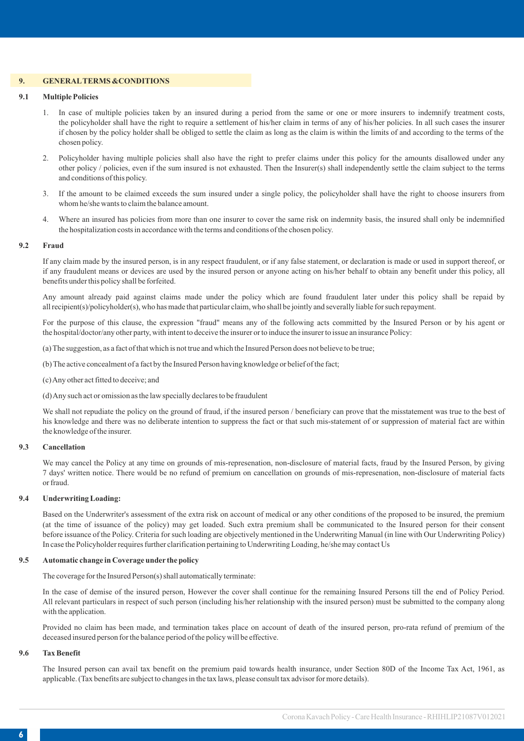### **9. GENERALTERMS &CONDITIONS**

### **9.1 Multiple Policies**

- 1. In case of multiple policies taken by an insured during a period from the same or one or more insurers to indemnify treatment costs, the policyholder shall have the right to require a settlement of his/her claim in terms of any of his/her policies. In all such cases the insurer if chosen by the policy holder shall be obliged to settle the claim as long as the claim is within the limits of and according to the terms of the chosen policy.
- 2. Policyholder having multiple policies shall also have the right to prefer claims under this policy for the amounts disallowed under any other policy / policies, even if the sum insured is not exhausted. Then the Insurer(s) shall independently settle the claim subject to the terms and conditions of this policy.
- 3. If the amount to be claimed exceeds the sum insured under a single policy, the policyholder shall have the right to choose insurers from whom he/she wants to claim the balance amount.
- 4. Where an insured has policies from more than one insurer to cover the same risk on indemnity basis, the insured shall only be indemnified the hospitalization costs in accordance with the terms and conditions of the chosen policy.

### **9.2 Fraud**

If any claim made by the insured person, is in any respect fraudulent, or if any false statement, or declaration is made or used in support thereof, or if any fraudulent means or devices are used by the insured person or anyone acting on his/her behalf to obtain any benefit under this policy, all benefits under this policy shall be forfeited.

Any amount already paid against claims made under the policy which are found fraudulent later under this policy shall be repaid by all recipient(s)/policyholder(s), who has made that particular claim, who shall be jointly and severally liable for such repayment.

For the purpose of this clause, the expression "fraud" means any of the following acts committed by the Insured Person or by his agent or the hospital/doctor/any other party, with intent to deceive the insurer or to induce the insurer to issue an insurance Policy:

(a) The suggestion, as a fact of that which is not true and which the Insured Person does not believe to be true;

- (b) The active concealment of a fact by the Insured Person having knowledge or belief of the fact;
- (c) Any other act fitted to deceive; and

(d) Any such act or omission as the law specially declares to be fraudulent

We shall not repudiate the policy on the ground of fraud, if the insured person / beneficiary can prove that the misstatement was true to the best of his knowledge and there was no deliberate intention to suppress the fact or that such mis-statement of or suppression of material fact are within the knowledge of the insurer.

### **9.3 Cancellation**

We may cancel the Policy at any time on grounds of mis-represenation, non-disclosure of material facts, fraud by the Insured Person, by giving 7 days' written notice. There would be no refund of premium on cancellation on grounds of mis-represenation, non-disclosure of material facts or fraud.

### **9.4 Underwriting Loading:**

Based on the Underwriter's assessment of the extra risk on account of medical or any other conditions of the proposed to be insured, the premium (at the time of issuance of the policy) may get loaded. Such extra premium shall be communicated to the Insured person for their consent before issuance of the Policy. Criteria for such loading are objectively mentioned in the Underwriting Manual (in line with Our Underwriting Policy) In case the Policyholder requires further clarification pertaining to Underwriting Loading, he/she may contact Us

#### **9.5 Automatic change in Coverage under the policy**

The coverage for the Insured Person(s) shall automatically terminate:

In the case of demise of the insured person, However the cover shall continue for the remaining Insured Persons till the end of Policy Period. All relevant particulars in respect of such person (including his/her relationship with the insured person) must be submitted to the company along with the application.

Provided no claim has been made, and termination takes place on account of death of the insured person, pro-rata refund of premium of the deceased insured person for the balance period of the policy will be effective.

# **9.6 Tax Benefit**

The Insured person can avail tax benefit on the premium paid towards health insurance, under Section 80D of the Income Tax Act, 1961, as applicable. (Tax benefits are subject to changes in the tax laws, please consult tax advisor for more details).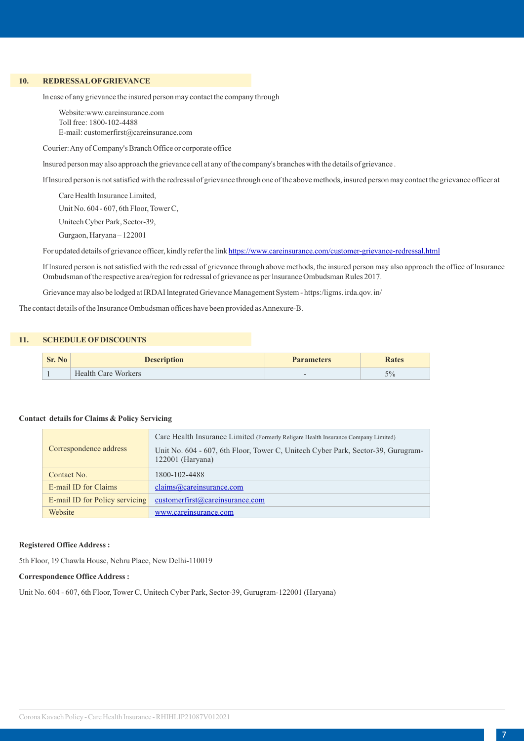# **10. REDRESSALOFGRIEVANCE**

ln case of any grievance the insured person may contact the company through

Website:www.careinsurance.com Toll free: 1800-102-4488 E-mail: customerfirst@careinsurance.com

Courier: Any of Company's Branch Office or corporate office

lnsured person may also approach the grievance cell at any of the company's branches with the details of grievance .

lf lnsured person is not satisfied with the redressal of grievance through one of the above methods, insured person may contact the grievance officer at

Care Health Insurance Limited,

Unit No. 604 - 607, 6th Floor, Tower C,

Unitech Cyber Park, Sector-39,

Gurgaon, Haryana – 122001

For updated details of grievance officer, kindly refer the link<https://www.careinsurance.com/customer-grievance-redressal.html>

lf lnsured person is not satisfied with the redressal of grievance through above methods, the insured person may also approach the office of lnsurance Ombudsman of the respective area/region for redressal of grievance as per lnsurance Ombudsman Rules 2017.

Grievance may also be lodged at IRDAI lntegrated Grievance Management System - https:/ligms. irda.qov. in/

The contact details of the Insurance Ombudsman offices have been provided as Annexure-B.

### **11. SCHEDULE OF DISCOUNTS**

| Sr. No | <b>Description</b>         | <b>Parameters</b> | <b>Rates</b> |
|--------|----------------------------|-------------------|--------------|
|        | <b>Health Care Workers</b> |                   | 5%           |

### **Contact details for Claims & Policy Servicing**

|                                | Care Health Insurance Limited (Formerly Religare Health Insurance Company Limited)                     |  |
|--------------------------------|--------------------------------------------------------------------------------------------------------|--|
| Correspondence address         | Unit No. 604 - 607, 6th Floor, Tower C, Unitech Cyber Park, Sector-39, Gurugram-<br>$122001$ (Haryana) |  |
| Contact No.                    | 1800-102-4488                                                                                          |  |
| E-mail ID for Claims           | claims@careinsurance.com                                                                               |  |
| E-mail ID for Policy servicing | customerfirst@careinsurance.com                                                                        |  |
| Website                        | www.careinsurance.com                                                                                  |  |

#### **Registered Office Address :**

5th Floor, 19 Chawla House, Nehru Place, New Delhi-110019

### **Correspondence Office Address :**

Unit No. 604 - 607, 6th Floor, Tower C, Unitech Cyber Park, Sector-39, Gurugram-122001 (Haryana)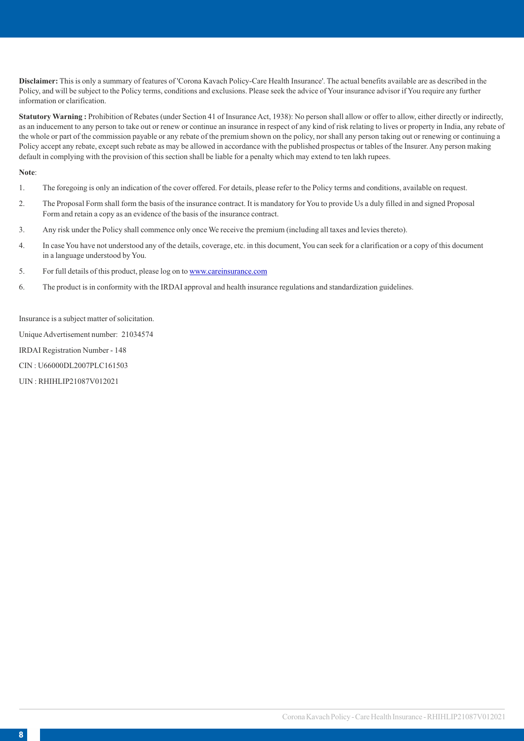**Disclaimer:** This is only a summary of features of 'Corona Kavach Policy-Care Health Insurance'. The actual benefits available are as described in the Policy, and will be subject to the Policy terms, conditions and exclusions. Please seek the advice of Your insurance advisor if You require any further information or clarification.

**Statutory Warning :** Prohibition of Rebates (under Section 41 of Insurance Act, 1938): No person shall allow or offer to allow, either directly or indirectly, as an inducement to any person to take out or renew or continue an insurance in respect of any kind of risk relating to lives or property in India, any rebate of the whole or part of the commission payable or any rebate of the premium shown on the policy, nor shall any person taking out or renewing or continuing a Policy accept any rebate, except such rebate as may be allowed in accordance with the published prospectus or tables of the Insurer. Any person making default in complying with the provision of this section shall be liable for a penalty which may extend to ten lakh rupees.

#### **Note**:

- 1. The foregoing is only an indication of the cover offered. For details, please refer to the Policy terms and conditions, available on request.
- 2. The Proposal Form shall form the basis of the insurance contract. It is mandatory for You to provide Us a duly filled in and signed Proposal Form and retain a copy as an evidence of the basis of the insurance contract.
- 3. Any risk under the Policy shall commence only once We receive the premium (including all taxes and levies thereto).
- 4. In case You have not understood any of the details, coverage, etc. in this document, You can seek for a clarification or a copy of this document in a language understood by You.
- 5. For full details of this product, please log on to [www.careinsurance.com](http://www.religarehealthinsurance.com)
- 6. The product is in conformity with the IRDAI approval and health insurance regulations and standardization guidelines.

Insurance is a subject matter of solicitation.

Unique Advertisement number: 21034574

IRDAI Registration Number - 148

CIN : U66000DL2007PLC161503

UIN : RHIHLIP21087V012021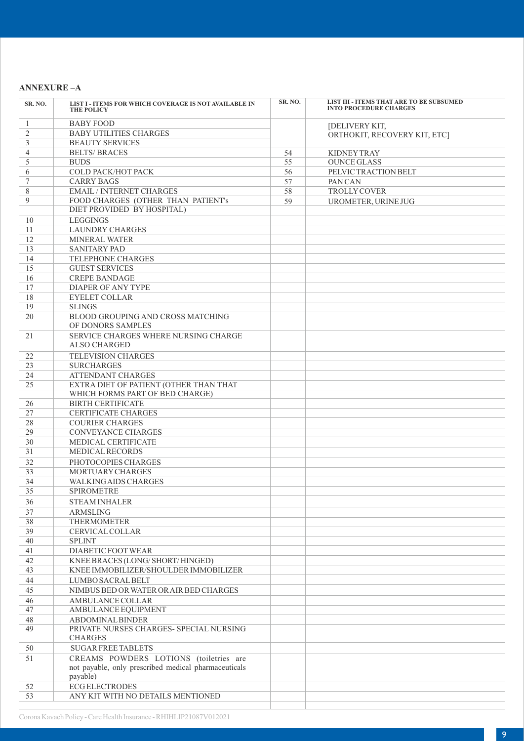# **ANNEXURE –A**

| SR. NO.        | LIST I - ITEMS FOR WHICH COVERAGE IS NOT AVAILABLE IN<br><b>THE POLICY</b>                                 | SR. NO. | LIST III - ITEMS THAT ARE TO BE SUBSUMED<br><b>INTO PROCEDURE CHARGES</b> |
|----------------|------------------------------------------------------------------------------------------------------------|---------|---------------------------------------------------------------------------|
| 1              | <b>BABY FOOD</b>                                                                                           |         | [DELIVERY KIT,                                                            |
| $\overline{2}$ | <b>BABY UTILITIES CHARGES</b>                                                                              |         | ORTHOKIT, RECOVERY KIT, ETC]                                              |
| 3              | <b>BEAUTY SERVICES</b>                                                                                     |         |                                                                           |
| 4              | <b>BELTS/ BRACES</b>                                                                                       | 54      | <b>KIDNEY TRAY</b>                                                        |
| 5              | <b>BUDS</b>                                                                                                | 55      | <b>OUNCE GLASS</b>                                                        |
| 6              | COLD PACK/HOT PACK                                                                                         | 56      | PELVIC TRACTION BELT                                                      |
| 7              | <b>CARRY BAGS</b>                                                                                          | 57      | PAN CAN                                                                   |
| 8              | <b>EMAIL / INTERNET CHARGES</b>                                                                            | 58      | TROLLY COVER                                                              |
| 9              | FOOD CHARGES (OTHER THAN PATIENT's                                                                         | 59      | UROMETER, URINE JUG                                                       |
|                | DIET PROVIDED BY HOSPITAL)                                                                                 |         |                                                                           |
| 10             | <b>LEGGINGS</b>                                                                                            |         |                                                                           |
| 11             | <b>LAUNDRY CHARGES</b>                                                                                     |         |                                                                           |
| 12             | MINERAL WATER                                                                                              |         |                                                                           |
| 13             | <b>SANITARY PAD</b>                                                                                        |         |                                                                           |
| 14             | TELEPHONE CHARGES                                                                                          |         |                                                                           |
| 15             | <b>GUEST SERVICES</b>                                                                                      |         |                                                                           |
| 16             | <b>CREPE BANDAGE</b>                                                                                       |         |                                                                           |
| 17             | <b>DIAPER OF ANY TYPE</b>                                                                                  |         |                                                                           |
| 18             | <b>EYELET COLLAR</b>                                                                                       |         |                                                                           |
| 19             | <b>SLINGS</b>                                                                                              |         |                                                                           |
| 20             | BLOOD GROUPING AND CROSS MATCHING<br>OF DONORS SAMPLES                                                     |         |                                                                           |
| 21             | SERVICE CHARGES WHERE NURSING CHARGE<br><b>ALSO CHARGED</b>                                                |         |                                                                           |
| 22             | <b>TELEVISION CHARGES</b>                                                                                  |         |                                                                           |
| 23             | <b>SURCHARGES</b>                                                                                          |         |                                                                           |
| 24             | <b>ATTENDANT CHARGES</b>                                                                                   |         |                                                                           |
| 25             | EXTRA DIET OF PATIENT (OTHER THAN THAT                                                                     |         |                                                                           |
|                | WHICH FORMS PART OF BED CHARGE)                                                                            |         |                                                                           |
| 26             | <b>BIRTH CERTIFICATE</b>                                                                                   |         |                                                                           |
| 27             | <b>CERTIFICATE CHARGES</b>                                                                                 |         |                                                                           |
| 28             | <b>COURIER CHARGES</b>                                                                                     |         |                                                                           |
| 29             | <b>CONVEYANCE CHARGES</b>                                                                                  |         |                                                                           |
| 30             | MEDICAL CERTIFICATE                                                                                        |         |                                                                           |
| 31             | MEDICAL RECORDS                                                                                            |         |                                                                           |
| 32             | PHOTOCOPIES CHARGES                                                                                        |         |                                                                           |
| 33             | MORTUARY CHARGES                                                                                           |         |                                                                           |
| 34             | <b>WALKING AIDS CHARGES</b>                                                                                |         |                                                                           |
| 35             | SPIROMETRE                                                                                                 |         |                                                                           |
| 36             | <b>STEAM INHALER</b>                                                                                       |         |                                                                           |
| 37             | <b>ARMSLING</b>                                                                                            |         |                                                                           |
| 38             | <b>THERMOMETER</b>                                                                                         |         |                                                                           |
| 39             | CERVICAL COLLAR                                                                                            |         |                                                                           |
| 40             | <b>SPLINT</b>                                                                                              |         |                                                                           |
| 41             | DIABETIC FOOT WEAR                                                                                         |         |                                                                           |
| 42             | KNEE BRACES (LONG/SHORT/HINGED)                                                                            |         |                                                                           |
| 43             | KNEE IMMOBILIZER/SHOULDER IMMOBILIZER                                                                      |         |                                                                           |
| 44             | LUMBO SACRAL BELT                                                                                          |         |                                                                           |
| 45             | NIMBUS BED OR WATER OR AIR BED CHARGES                                                                     |         |                                                                           |
| 46             | AMBULANCE COLLAR                                                                                           |         |                                                                           |
| 47             | AMBULANCE EQUIPMENT                                                                                        |         |                                                                           |
| 48             | ABDOMINAL BINDER                                                                                           |         |                                                                           |
| 49             | PRIVATE NURSES CHARGES- SPECIAL NURSING<br><b>CHARGES</b>                                                  |         |                                                                           |
| 50             | <b>SUGAR FREE TABLETS</b>                                                                                  |         |                                                                           |
| 51             | CREAMS POWDERS LOTIONS (toiletries are<br>not payable, only prescribed medical pharmaceuticals<br>payable) |         |                                                                           |
| 52             | <b>ECG ELECTRODES</b>                                                                                      |         |                                                                           |
| 53             | ANY KIT WITH NO DETAILS MENTIONED                                                                          |         |                                                                           |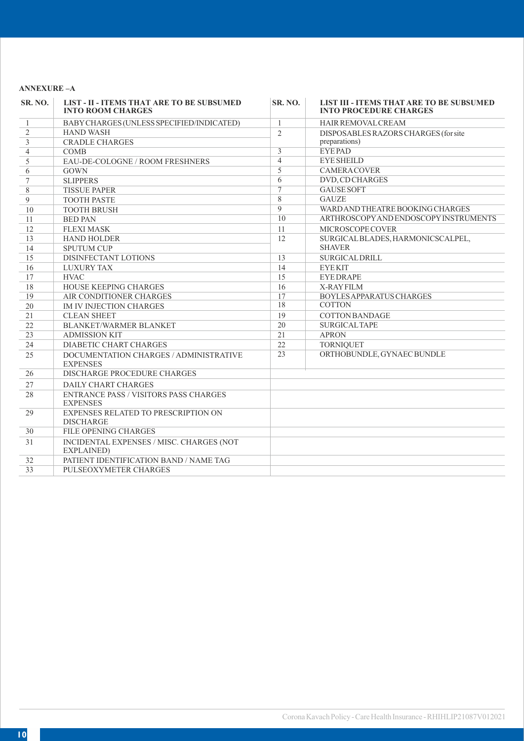# **ANNEXURE –A**

| <b>SR. NO.</b> | <b>LIST - II - ITEMS THAT ARE TO BE SUBSUMED</b><br><b>INTO ROOM CHARGES</b> | <b>SR. NO.</b>    | <b>LIST III - ITEMS THAT ARE TO BE SUBSUMED</b><br><b>INTO PROCEDURE CHARGES</b> |
|----------------|------------------------------------------------------------------------------|-------------------|----------------------------------------------------------------------------------|
| 1              | BABY CHARGES (UNLESS SPECIFIED/INDICATED)                                    | $\mathbf{1}$      | HAIR REMOVAL CREAM                                                               |
| $\overline{2}$ | <b>HAND WASH</b>                                                             | $\overline{2}$    | DISPOSABLES RAZORS CHARGES (for site                                             |
| 3              | <b>CRADLE CHARGES</b>                                                        |                   | preparations)                                                                    |
| $\overline{4}$ | <b>COMB</b>                                                                  | $\overline{3}$    | <b>EYEPAD</b>                                                                    |
| 5              | EAU-DE-COLOGNE / ROOM FRESHNERS                                              | $\overline{4}$    | <b>EYE SHEILD</b>                                                                |
| 6              | <b>GOWN</b>                                                                  | 5                 | <b>CAMERACOVER</b>                                                               |
| 7              | <b>SLIPPERS</b>                                                              | 6                 | DVD, CD CHARGES                                                                  |
| 8              | <b>TISSUE PAPER</b>                                                          | $\overline{\tau}$ | <b>GAUSE SOFT</b>                                                                |
| 9              | <b>TOOTH PASTE</b>                                                           | $8\,$             | <b>GAUZE</b>                                                                     |
| 10             | <b>TOOTH BRUSH</b>                                                           | $\overline{9}$    | WARD AND THEATRE BOOKING CHARGES                                                 |
| 11             | <b>BED PAN</b>                                                               | 10                | ARTHROSCOPY AND ENDOSCOPY INSTRUMENTS                                            |
| 12             | <b>FLEXI MASK</b>                                                            | 11                | MICROSCOPE COVER                                                                 |
| 13             | <b>HAND HOLDER</b>                                                           | 12                | SURGICAL BLADES, HARMONICSCALPEL,                                                |
| 14             | <b>SPUTUM CUP</b>                                                            |                   | <b>SHAVER</b>                                                                    |
| 15             | DISINFECTANT LOTIONS                                                         | 13                | <b>SURGICAL DRILL</b>                                                            |
| 16             | <b>LUXURY TAX</b>                                                            | 14                | <b>EYEKIT</b>                                                                    |
| 17             | <b>HVAC</b>                                                                  | 15                | <b>EYEDRAPE</b>                                                                  |
| 18             | <b>HOUSE KEEPING CHARGES</b>                                                 | 16                | <b>X-RAYFILM</b>                                                                 |
| 19             | AIR CONDITIONER CHARGES                                                      | 17                | BOYLES APPARATUS CHARGES                                                         |
| 20             | <b>IM IV INJECTION CHARGES</b>                                               | 18                | <b>COTTON</b>                                                                    |
| 21             | <b>CLEAN SHEET</b>                                                           | 19                | <b>COTTON BANDAGE</b>                                                            |
| 22             | BLANKET/WARMER BLANKET                                                       | 20                | <b>SURGICAL TAPE</b>                                                             |
| 23             | <b>ADMISSION KIT</b>                                                         | 21                | <b>APRON</b>                                                                     |
| 24             | <b>DIABETIC CHART CHARGES</b>                                                | 22                | <b>TORNIQUET</b>                                                                 |
| 25             | DOCUMENTATION CHARGES / ADMINISTRATIVE<br><b>EXPENSES</b>                    | 23                | ORTHOBUNDLE, GYNAEC BUNDLE                                                       |
| 26             | DISCHARGE PROCEDURE CHARGES                                                  |                   |                                                                                  |
| 27             | <b>DAILY CHART CHARGES</b>                                                   |                   |                                                                                  |
| 28             | <b>ENTRANCE PASS / VISITORS PASS CHARGES</b><br><b>EXPENSES</b>              |                   |                                                                                  |
| 29             | EXPENSES RELATED TO PRESCRIPTION ON<br><b>DISCHARGE</b>                      |                   |                                                                                  |
| 30             | <b>FILE OPENING CHARGES</b>                                                  |                   |                                                                                  |
| 31             | INCIDENTAL EXPENSES / MISC. CHARGES (NOT<br>EXPLAINED)                       |                   |                                                                                  |
| 32             | PATIENT IDENTIFICATION BAND / NAME TAG                                       |                   |                                                                                  |
| 33             | PULSEOXYMETER CHARGES                                                        |                   |                                                                                  |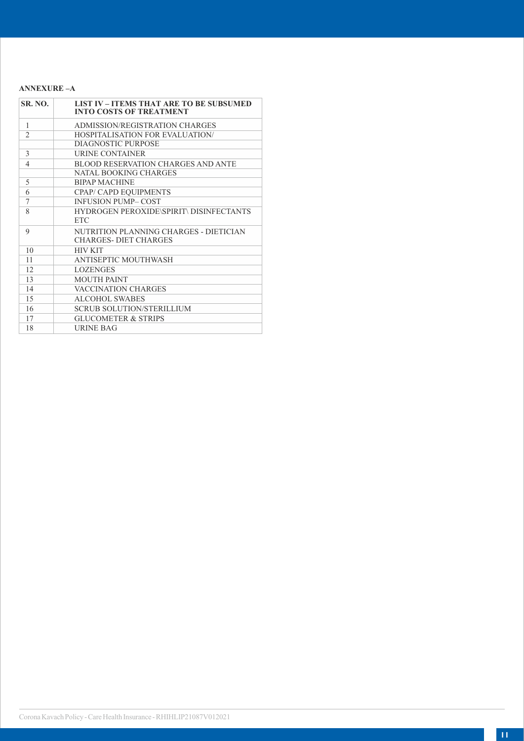### **ANNEXURE –A**

| <b>SR. NO.</b> | <b>LIST IV - ITEMS THAT ARE TO BE SUBSUMED</b><br><b>INTO COSTS OF TREATMENT</b> |
|----------------|----------------------------------------------------------------------------------|
| 1              | ADMISSION/REGISTRATION CHARGES                                                   |
| $\mathfrak{D}$ | <b>HOSPITALISATION FOR EVALUATION/</b>                                           |
|                | <b>DIAGNOSTIC PURPOSE</b>                                                        |
| 3              | <b>URINE CONTAINER</b>                                                           |
| $\overline{4}$ | <b>BLOOD RESERVATION CHARGES AND ANTE</b>                                        |
|                | <b>NATAL BOOKING CHARGES</b>                                                     |
| 5              | <b>BIPAP MACHINE</b>                                                             |
| 6              | CPAP/ CAPD EQUIPMENTS                                                            |
| 7              | <b>INFUSION PUMP-COST</b>                                                        |
| 8              | <b>HYDROGEN PEROXIDE\SPIRIT\ DISINFECTANTS</b>                                   |
|                | <b>ETC</b>                                                                       |
| 9              | NUTRITION PLANNING CHARGES - DIETICIAN                                           |
|                | <b>CHARGES- DIET CHARGES</b>                                                     |
| 10             | <b>HIV KIT</b>                                                                   |
| 11             | ANTISEPTIC MOUTHWASH                                                             |
| 12             | <b>LOZENGES</b>                                                                  |
| 13             | <b>MOUTH PAINT</b>                                                               |
| 14             | <b>VACCINATION CHARGES</b>                                                       |
| 15             | <b>ALCOHOL SWABES</b>                                                            |
| 16             | <b>SCRUB SOLUTION/STERILLIUM</b>                                                 |
| 17             | <b>GLUCOMETER &amp; STRIPS</b>                                                   |
| 18             | URINE BAG                                                                        |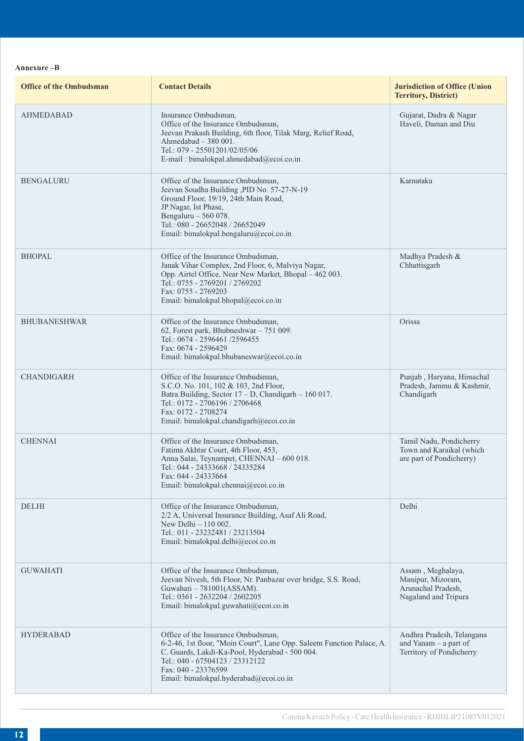**Annexure –B**

| <b>Office of the Ombudsman</b> | <b>Contact Details</b>                                                                                                                                                                                                                                            | <b>Jurisdiction of Office (Union</b><br><b>Territory, District)</b>                  |
|--------------------------------|-------------------------------------------------------------------------------------------------------------------------------------------------------------------------------------------------------------------------------------------------------------------|--------------------------------------------------------------------------------------|
| <b>AHMEDABAD</b>               | Insurance Ombudsman,<br>Office of the Insurance Ombudsman,<br>Jeevan Prakash Building, 6th floor, Tilak Marg, Relief Road,<br>Ahmedabad $-380001$ .<br>Tel.: 079 - 25501201/02/05/06<br>E-mail: bimalokpal.ahmedabad@ecoi.co.in                                   | Gujarat, Dadra & Nagar<br>Haveli, Daman and Diu                                      |
| <b>BENGALURU</b>               | Office of the Insurance Ombudsman,<br>Jeevan Soudha Building , PID No. 57-27-N-19<br>Ground Floor, 19/19, 24th Main Road,<br>JP Nagar, Ist Phase,<br>Bengaluru $-560078$ .<br>Tel.: 080 - 26652048 / 26652049<br>Email: bimalokpal.bengaluru@ecoi.co.in           | Karnataka                                                                            |
| <b>BHOPAL</b>                  | Office of the Insurance Ombudsman,<br>Janak Vihar Complex, 2nd Floor, 6, Malviya Nagar,<br>Opp. Airtel Office, Near New Market, Bhopal - 462 003.<br>Tel.: 0755 - 2769201 / 2769202<br>Fax: 0755 - 2769203<br>Email: bimalokpal.bhopal@ecoi.co.in                 | Madhya Pradesh &<br>Chhattisgarh                                                     |
| <b>BHUBANESHWAR</b>            | Office of the Insurance Ombudsman,<br>62, Forest park, Bhubneshwar - 751 009.<br>Tel.: 0674 - 2596461 /2596455<br>Fax: 0674 - 2596429<br>Email: bimalokpal.bhubaneswar@ecoi.co.in                                                                                 | Orissa                                                                               |
| <b>CHANDIGARH</b>              | Office of the Insurance Ombudsman,<br>S.C.O. No. 101, 102 & 103, 2nd Floor,<br>Batra Building, Sector 17 - D, Chandigarh - 160 017.<br>Tel.: 0172 - 2706196 / 2706468<br>Fax: 0172 - 2708274<br>Email: bimalokpal.chandigarh@ecoi.co.in                           | Punjab, Haryana, Himachal<br>Pradesh, Jammu & Kashmir,<br>Chandigarh                 |
| <b>CHENNAI</b>                 | Office of the Insurance Ombudsman,<br>Fatima Akhtar Court, 4th Floor, 453,<br>Anna Salai, Teynampet, CHENNAI - 600 018.<br>Tel.: 044 - 24333668 / 24335284<br>Fax: 044 - 24333664<br>Email: bimalokpal.chennai@ecoi.co.in                                         | Tamil Nadu, Pondicherry<br>Town and Karaikal (which<br>are part of Pondicherry)      |
| <b>DELHI</b>                   | Office of the Insurance Ombudsman,<br>2/2 A, Universal Insurance Building, Asaf Ali Road,<br>New Delhi $-110002$ .<br>Tel.: 011 - 23232481 / 23213504<br>Email: bimalokpal.delhi@ecoi.co.in                                                                       | Delhi                                                                                |
| <b>GUWAHATI</b>                | Office of the Insurance Ombudsman,<br>Jeevan Nivesh, 5th Floor, Nr. Panbazar over bridge, S.S. Road,<br>Guwahati - 781001(ASSAM).<br>Tel.: 0361 - 2632204 / 2602205<br>Email: bimalokpal.guwahati@ecoi.co.in                                                      | Assam, Meghalaya,<br>Manipur, Mizoram,<br>Arunachal Pradesh,<br>Nagaland and Tripura |
| <b>HYDERABAD</b>               | Office of the Insurance Ombudsman,<br>6-2-46, 1st floor, "Moin Court", Lane Opp. Saleem Function Palace, A.<br>C. Guards, Lakdi-Ka-Pool, Hyderabad - 500 004.<br>Tel.: 040 - 67504123 / 23312122<br>Fax: 040 - 23376599<br>Email: bimalokpal.hyderabad@ecoi.co.in | Andhra Pradesh, Telangana<br>and Yanam - a part of<br>Territory of Pondicherry       |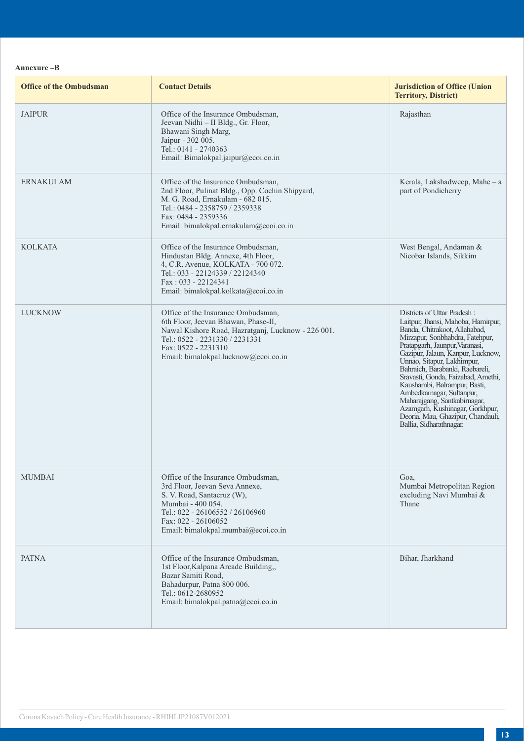### **Annexure –B**

| <b>Office of the Ombudsman</b> | <b>Contact Details</b>                                                                                                                                                                                                           | <b>Jurisdiction of Office (Union</b><br><b>Territory, District)</b>                                                                                                                                                                                                                                                                                                                                                                                                                                                 |
|--------------------------------|----------------------------------------------------------------------------------------------------------------------------------------------------------------------------------------------------------------------------------|---------------------------------------------------------------------------------------------------------------------------------------------------------------------------------------------------------------------------------------------------------------------------------------------------------------------------------------------------------------------------------------------------------------------------------------------------------------------------------------------------------------------|
| <b>JAIPUR</b>                  | Office of the Insurance Ombudsman,<br>Jeevan Nidhi - II Bldg., Gr. Floor,<br>Bhawani Singh Marg,<br>Jaipur - 302 005.<br>Tel.: 0141 - 2740363<br>Email: Bimalokpal.jaipur@ecoi.co.in                                             | Rajasthan                                                                                                                                                                                                                                                                                                                                                                                                                                                                                                           |
| <b>ERNAKULAM</b>               | Office of the Insurance Ombudsman,<br>2nd Floor, Pulinat Bldg., Opp. Cochin Shipyard,<br>M. G. Road, Ernakulam - 682 015.<br>Tel.: 0484 - 2358759 / 2359338<br>Fax: 0484 - 2359336<br>Email: bimalokpal.ernakulam@ecoi.co.in     | Kerala, Lakshadweep, Mahe - a<br>part of Pondicherry                                                                                                                                                                                                                                                                                                                                                                                                                                                                |
| <b>KOLKATA</b>                 | Office of the Insurance Ombudsman,<br>Hindustan Bldg. Annexe, 4th Floor,<br>4, C.R. Avenue, KOLKATA - 700 072.<br>Tel.: 033 - 22124339 / 22124340<br>Fax: 033 - 22124341<br>Email: bimalokpal.kolkata@ecoi.co.in                 | West Bengal, Andaman &<br>Nicobar Islands, Sikkim                                                                                                                                                                                                                                                                                                                                                                                                                                                                   |
| <b>LUCKNOW</b>                 | Office of the Insurance Ombudsman,<br>6th Floor, Jeevan Bhawan, Phase-II,<br>Nawal Kishore Road, Hazratganj, Lucknow - 226 001.<br>Tel.: 0522 - 2231330 / 2231331<br>Fax: 0522 - 2231310<br>Email: bimalokpal.lucknow@ecoi.co.in | Districts of Uttar Pradesh:<br>Laitpur, Jhansi, Mahoba, Hamirpur,<br>Banda, Chitrakoot, Allahabad,<br>Mirzapur, Sonbhabdra, Fatehpur,<br>Pratapgarh, Jaunpur, Varanasi,<br>Gazipur, Jalaun, Kanpur, Lucknow,<br>Unnao, Sitapur, Lakhimpur,<br>Bahraich, Barabanki, Raebareli,<br>Sravasti, Gonda, Faizabad, Amethi,<br>Kaushambi, Balrampur, Basti,<br>Ambedkarnagar, Sultanpur,<br>Maharajgang, Santkabirnagar,<br>Azamgarh, Kushinagar, Gorkhpur,<br>Deoria, Mau, Ghazipur, Chandauli,<br>Ballia, Sidharathnagar. |
| <b>MUMBAI</b>                  | Office of the Insurance Ombudsman,<br>3rd Floor, Jeevan Seva Annexe,<br>S. V. Road, Santacruz (W),<br>Mumbai - 400 054.<br>Tel.: 022 - 26106552 / 26106960<br>Fax: 022 - 26106052<br>Email: bimalokpal.mumbai@ecoi.co.in         | Goa,<br>Mumbai Metropolitan Region<br>excluding Navi Mumbai &<br>Thane                                                                                                                                                                                                                                                                                                                                                                                                                                              |
| <b>PATNA</b>                   | Office of the Insurance Ombudsman,<br>1st Floor, Kalpana Arcade Building,,<br>Bazar Samiti Road,<br>Bahadurpur, Patna 800 006.<br>Tel.: 0612-2680952<br>Email: bimalokpal.patna@ecoi.co.in                                       | Bihar, Jharkhand                                                                                                                                                                                                                                                                                                                                                                                                                                                                                                    |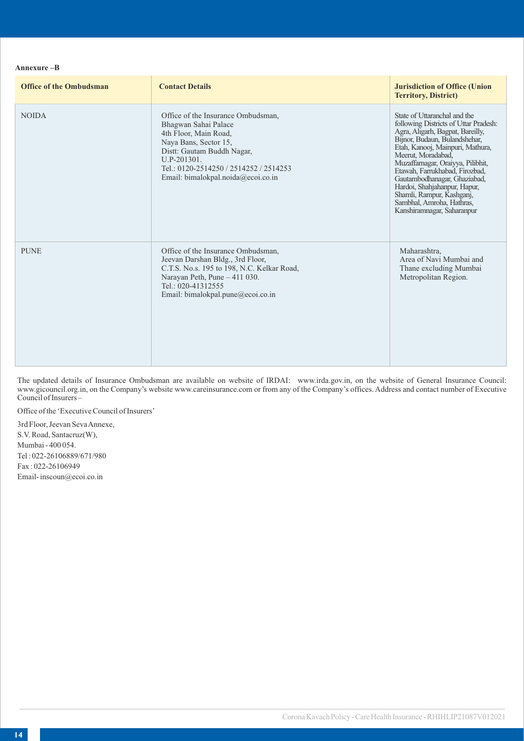### **Annexure –B**

| <b>Office of the Ombudsman</b> | <b>Contact Details</b>                                                                                                                                                                                                                    | <b>Jurisdiction of Office (Union</b><br><b>Territory, District)</b>                                                                                                                                                                                                                                                                                                                                                                 |
|--------------------------------|-------------------------------------------------------------------------------------------------------------------------------------------------------------------------------------------------------------------------------------------|-------------------------------------------------------------------------------------------------------------------------------------------------------------------------------------------------------------------------------------------------------------------------------------------------------------------------------------------------------------------------------------------------------------------------------------|
| <b>NOIDA</b>                   | Office of the Insurance Ombudsman,<br>Bhagwan Sahai Palace<br>4th Floor, Main Road,<br>Naya Bans, Sector 15,<br>Distt: Gautam Buddh Nagar,<br>U.P-201301.<br>Tel.: 0120-2514250 / 2514252 / 2514253<br>Email: bimalokpal.noida@ecoi.co.in | State of Uttaranchal and the<br>following Districts of Uttar Pradesh:<br>Agra, Aligarh, Bagpat, Bareilly,<br>Bijnor, Budaun, Bulandshehar,<br>Etah, Kanooj, Mainpuri, Mathura,<br>Meerut, Moradabad,<br>Muzaffarnagar, Oraiyya, Pilibhit,<br>Etawah, Farrukhabad, Firozbad,<br>Gautambodhanagar, Ghaziabad,<br>Hardoi, Shahjahanpur, Hapur,<br>Shamli, Rampur, Kashganj,<br>Sambhal, Amroha, Hathras,<br>Kanshiramnagar, Saharanpur |
| <b>PUNE</b>                    | Office of the Insurance Ombudsman,<br>Jeevan Darshan Bldg., 3rd Floor,<br>C.T.S. No.s. 195 to 198, N.C. Kelkar Road,<br>Narayan Peth, Pune - 411 030.<br>Tel.: 020-41312555<br>Email: bimalokpal.pune@ecoi.co.in                          | Maharashtra,<br>Area of Navi Mumbai and<br>Thane excluding Mumbai<br>Metropolitan Region.                                                                                                                                                                                                                                                                                                                                           |

The updated details of Insurance Ombudsman are available on website of IRDAI: www.irda.gov.in, on the website of General Insurance Council: www.gicouncil.org.in, on the Company's website www.careinsurance.com or from any of the Company's offices. Address and contact number of Executive Council of Insurers –

Office of the 'Executive Council of Insurers'

3rd Floor, Jeevan Seva Annexe, S.V. Road, Santacruz(W), Mumbai - 400 054. Tel : 022-26106889/671/980 Fax : 022-26106949 Email- inscoun@ecoi.co.in